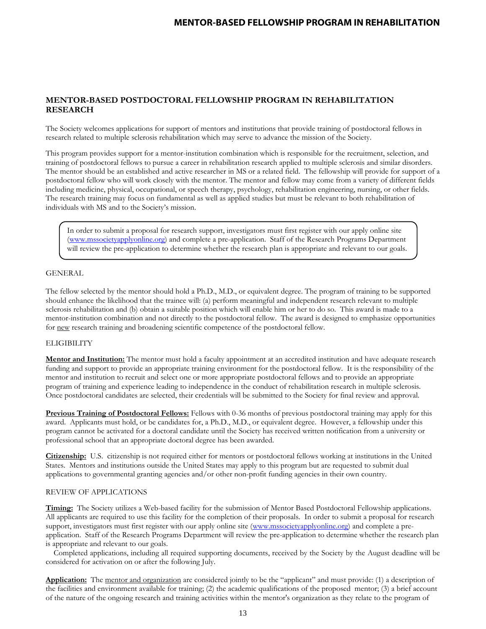## **MENTOR-BASED POSTDOCTORAL FELLOWSHIP PROGRAM IN REHABILITATION RESEARCH**

The Society welcomes applications for support of mentors and institutions that provide training of postdoctoral fellows in research related to multiple sclerosis rehabilitation which may serve to advance the mission of the Society.

This program provides support for a mentor-institution combination which is responsible for the recruitment, selection, and training of postdoctoral fellows to pursue a career in rehabilitation research applied to multiple sclerosis and similar disorders. The mentor should be an established and active researcher in MS or a related field. The fellowship will provide for support of a postdoctoral fellow who will work closely with the mentor. The mentor and fellow may come from a variety of different fields including medicine, physical, occupational, or speech therapy, psychology, rehabilitation engineering, nursing, or other fields. The research training may focus on fundamental as well as applied studies but must be relevant to both rehabilitation of individuals with MS and to the Society's mission.

In order to submit a proposal for research support, investigators must first register with our apply online site [\(www.mssocietyapplyonline.org\)](http://www.mssocietyapplyonline.org/) and complete a pre-application. Staff of the Research Programs Department will review the pre-application to determine whether the research plan is appropriate and relevant to our goals.

### GENERAL

The fellow selected by the mentor should hold a Ph.D., M.D., or equivalent degree. The program of training to be supported should enhance the likelihood that the trainee will: (a) perform meaningful and independent research relevant to multiple sclerosis rehabilitation and (b) obtain a suitable position which will enable him or her to do so. This award is made to a mentor-institution combination and not directly to the postdoctoral fellow. The award is designed to emphasize opportunities for new research training and broadening scientific competence of the postdoctoral fellow.

#### **ELIGIBILITY**

**Mentor and Institution:** The mentor must hold a faculty appointment at an accredited institution and have adequate research funding and support to provide an appropriate training environment for the postdoctoral fellow. It is the responsibility of the mentor and institution to recruit and select one or more appropriate postdoctoral fellows and to provide an appropriate program of training and experience leading to independence in the conduct of rehabilitation research in multiple sclerosis. Once postdoctoral candidates are selected, their credentials will be submitted to the Society for final review and approval.

**Previous Training of Postdoctoral Fellows:** Fellows with 0-36 months of previous postdoctoral training may apply for this award. Applicants must hold, or be candidates for, a Ph.D., M.D., or equivalent degree. However, a fellowship under this program cannot be activated for a doctoral candidate until the Society has received written notification from a university or professional school that an appropriate doctoral degree has been awarded.

**Citizenship:** U.S. citizenship is not required either for mentors or postdoctoral fellows working at institutions in the United States. Mentors and institutions outside the United States may apply to this program but are requested to submit dual applications to governmental granting agencies and/or other non-profit funding agencies in their own country.

### REVIEW OF APPLICATIONS

**Timing:** The Society utilizes a Web-based facility for the submission of Mentor Based Postdoctoral Fellowship applications. All applicants are required to use this facility for the completion of their proposals. In order to submit a proposal for research support, investigators must first register with our apply online site [\(www.mssocietyapplyonline.org\)](http://www.mssocietyapplyonline.org/) and complete a preapplication. Staff of the Research Programs Department will review the pre-application to determine whether the research plan is appropriate and relevant to our goals.

 Completed applications, including all required supporting documents, received by the Society by the August deadline will be considered for activation on or after the following July.

**Application:** The mentor and organization are considered jointly to be the "applicant" and must provide: (1) a description of the facilities and environment available for training; (2) the academic qualifications of the proposed mentor; (3) a brief account of the nature of the ongoing research and training activities within the mentor's organization as they relate to the program of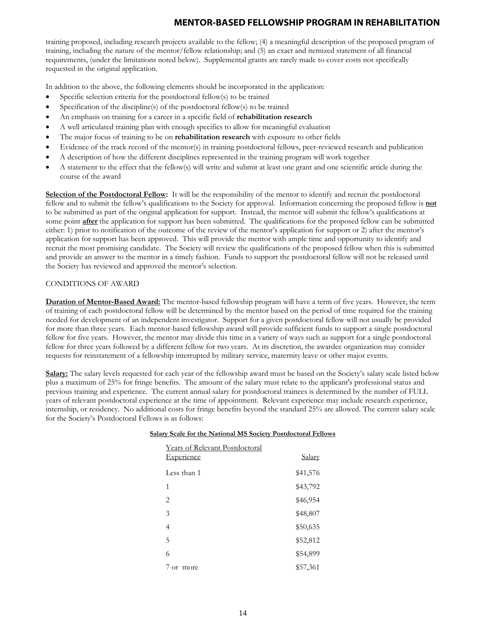training proposed, including research projects available to the fellow; (4) a meaningful description of the proposed program of training, including the nature of the mentor/fellow relationship; and (5) an exact and itemized statement of all financial requirements, (under the limitations noted below). Supplemental grants are rarely made to cover costs not specifically requested in the original application.

In addition to the above, the following elements should be incorporated in the application:

- Specific selection criteria for the postdoctoral fellow(s) to be trained
- Specification of the discipline(s) of the postdoctoral fellow(s) to be trained
- An emphasis on training for a career in a specific field of **rehabilitation research**
- A well articulated training plan with enough specifics to allow for meaningful evaluation
- The major focus of training to be on **rehabilitation research** with exposure to other fields
- Evidence of the track record of the mentor(s) in training postdoctoral fellows, peer-reviewed research and publication
- A description of how the different disciplines represented in the training program will work together
- A statement to the effect that the fellow(s) will write and submit at least one grant and one scientific article during the course of the award

**Selection of the Postdoctoral Fellow:** It will be the responsibility of the mentor to identify and recruit the postdoctoral fellow and to submit the fellow's qualifications to the Society for approval. Information concerning the proposed fellow is **not** to be submitted as part of the original application for support. Instead, the mentor will submit the fellow's qualifications at some point **after** the application for support has been submitted. The qualifications for the proposed fellow can be submitted either: 1) prior to notification of the outcome of the review of the mentor's application for support or 2) after the mentor's application for support has been approved. This will provide the mentor with ample time and opportunity to identify and recruit the most promising candidate. The Society will review the qualifications of the proposed fellow when this is submitted and provide an answer to the mentor in a timely fashion. Funds to support the postdoctoral fellow will not be released until the Society has reviewed and approved the mentor's selection.

### CONDITIONS OF AWARD

**Duration of Mentor-Based Award:** The mentor-based fellowship program will have a term of five years. However, the term of training of each postdoctoral fellow will be determined by the mentor based on the period of time required for the training needed for development of an independent investigator. Support for a given postdoctoral fellow will not usually be provided for more than three years. Each mentor-based fellowship award will provide sufficient funds to support a single postdoctoral fellow for five years. However, the mentor may divide this time in a variety of ways such as support for a single postdoctoral fellow for three years followed by a different fellow for two years. At its discretion, the awardee organization may consider requests for reinstatement of a fellowship interrupted by military service, maternity leave or other major events.

**Salary:** The salary levels requested for each year of the fellowship award must be based on the Society's salary scale listed below plus a maximum of 25% for fringe benefits. The amount of the salary must relate to the applicant's professional status and previous training and experience. The current annual salary for postdoctoral trainees is determined by the number of FULL years of relevant postdoctoral experience at the time of appointment. Relevant experience may include research experience, internship, or residency. No additional costs for fringe benefits beyond the standard 25% are allowed. The current salary scale for the Society's Postdoctoral Fellows is as follows:

| <b>Years of Relevant Postdoctoral</b><br>Experience | <u>Salary</u> |
|-----------------------------------------------------|---------------|
| Less than 1                                         | \$41,576      |
| 1                                                   | \$43,792      |
| $\overline{2}$                                      | \$46,954      |
| 3                                                   | \$48,807      |
| 4                                                   | \$50,635      |
| 5                                                   | \$52,812      |
| 6                                                   | \$54,899      |
| or more                                             | \$57,361      |

### **Salary Scale for the National MS Society Postdoctoral Fellows**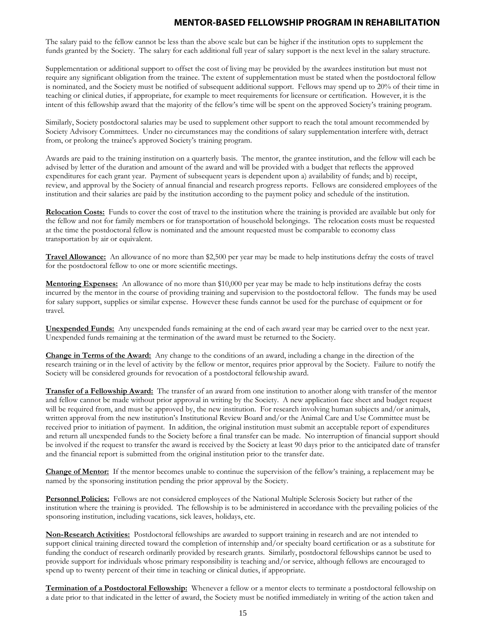The salary paid to the fellow cannot be less than the above scale but can be higher if the institution opts to supplement the funds granted by the Society. The salary for each additional full year of salary support is the next level in the salary structure.

Supplementation or additional support to offset the cost of living may be provided by the awardees institution but must not require any significant obligation from the trainee. The extent of supplementation must be stated when the postdoctoral fellow is nominated, and the Society must be notified of subsequent additional support. Fellows may spend up to 20% of their time in teaching or clinical duties, if appropriate, for example to meet requirements for licensure or certification. However, it is the intent of this fellowship award that the majority of the fellow's time will be spent on the approved Society's training program.

Similarly, Society postdoctoral salaries may be used to supplement other support to reach the total amount recommended by Society Advisory Committees. Under no circumstances may the conditions of salary supplementation interfere with, detract from, or prolong the trainee's approved Society's training program.

Awards are paid to the training institution on a quarterly basis. The mentor, the grantee institution, and the fellow will each be advised by letter of the duration and amount of the award and will be provided with a budget that reflects the approved expenditures for each grant year. Payment of subsequent years is dependent upon a) availability of funds; and b) receipt, review, and approval by the Society of annual financial and research progress reports. Fellows are considered employees of the institution and their salaries are paid by the institution according to the payment policy and schedule of the institution.

**Relocation Costs:** Funds to cover the cost of travel to the institution where the training is provided are available but only for the fellow and not for family members or for transportation of household belongings. The relocation costs must be requested at the time the postdoctoral fellow is nominated and the amount requested must be comparable to economy class transportation by air or equivalent.

**Travel Allowance:** An allowance of no more than \$2,500 per year may be made to help institutions defray the costs of travel for the postdoctoral fellow to one or more scientific meetings.

**Mentoring Expenses:** An allowance of no more than \$10,000 per year may be made to help institutions defray the costs incurred by the mentor in the course of providing training and supervision to the postdoctoral fellow. The funds may be used for salary support, supplies or similar expense. However these funds cannot be used for the purchase of equipment or for travel.

**Unexpended Funds:** Any unexpended funds remaining at the end of each award year may be carried over to the next year. Unexpended funds remaining at the termination of the award must be returned to the Society.

**Change in Terms of the Award:** Any change to the conditions of an award, including a change in the direction of the research training or in the level of activity by the fellow or mentor, requires prior approval by the Society. Failure to notify the Society will be considered grounds for revocation of a postdoctoral fellowship award.

**Transfer of a Fellowship Award:** The transfer of an award from one institution to another along with transfer of the mentor and fellow cannot be made without prior approval in writing by the Society. A new application face sheet and budget request will be required from, and must be approved by, the new institution. For research involving human subjects and/or animals, written approval from the new institution's Institutional Review Board and/or the Animal Care and Use Committee must be received prior to initiation of payment. In addition, the original institution must submit an acceptable report of expenditures and return all unexpended funds to the Society before a final transfer can be made. No interruption of financial support should be involved if the request to transfer the award is received by the Society at least 90 days prior to the anticipated date of transfer and the financial report is submitted from the original institution prior to the transfer date.

**Change of Mentor:** If the mentor becomes unable to continue the supervision of the fellow's training, a replacement may be named by the sponsoring institution pending the prior approval by the Society.

**Personnel Policies:** Fellows are not considered employees of the National Multiple Sclerosis Society but rather of the institution where the training is provided. The fellowship is to be administered in accordance with the prevailing policies of the sponsoring institution, including vacations, sick leaves, holidays, etc.

**Non-Research Activities:** Postdoctoral fellowships are awarded to support training in research and are not intended to support clinical training directed toward the completion of internship and/or specialty board certification or as a substitute for funding the conduct of research ordinarily provided by research grants. Similarly, postdoctoral fellowships cannot be used to provide support for individuals whose primary responsibility is teaching and/or service, although fellows are encouraged to spend up to twenty percent of their time in teaching or clinical duties, if appropriate.

**Termination of a Postdoctoral Fellowship:** Whenever a fellow or a mentor elects to terminate a postdoctoral fellowship on a date prior to that indicated in the letter of award, the Society must be notified immediately in writing of the action taken and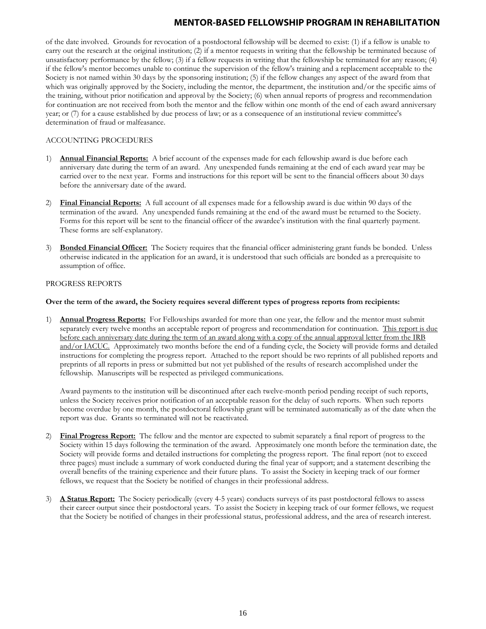of the date involved. Grounds for revocation of a postdoctoral fellowship will be deemed to exist: (1) if a fellow is unable to carry out the research at the original institution; (2) if a mentor requests in writing that the fellowship be terminated because of unsatisfactory performance by the fellow; (3) if a fellow requests in writing that the fellowship be terminated for any reason; (4) if the fellow's mentor becomes unable to continue the supervision of the fellow's training and a replacement acceptable to the Society is not named within 30 days by the sponsoring institution; (5) if the fellow changes any aspect of the award from that which was originally approved by the Society, including the mentor, the department, the institution and/or the specific aims of the training, without prior notification and approval by the Society; (6) when annual reports of progress and recommendation for continuation are not received from both the mentor and the fellow within one month of the end of each award anniversary year; or (7) for a cause established by due process of law; or as a consequence of an institutional review committee's determination of fraud or malfeasance.

### ACCOUNTING PROCEDURES

- 1) **Annual Financial Reports:** A brief account of the expenses made for each fellowship award is due before each anniversary date during the term of an award. Any unexpended funds remaining at the end of each award year may be carried over to the next year. Forms and instructions for this report will be sent to the financial officers about 30 days before the anniversary date of the award.
- 2) **Final Financial Reports:** A full account of all expenses made for a fellowship award is due within 90 days of the termination of the award. Any unexpended funds remaining at the end of the award must be returned to the Society. Forms for this report will be sent to the financial officer of the awardee's institution with the final quarterly payment. These forms are self-explanatory.
- 3) **Bonded Financial Officer:** The Society requires that the financial officer administering grant funds be bonded. Unless otherwise indicated in the application for an award, it is understood that such officials are bonded as a prerequisite to assumption of office.

#### PROGRESS REPORTS

#### **Over the term of the award, the Society requires several different types of progress reports from recipients:**

1) **Annual Progress Reports:** For Fellowships awarded for more than one year, the fellow and the mentor must submit separately every twelve months an acceptable report of progress and recommendation for continuation. This report is due before each anniversary date during the term of an award along with a copy of the annual approval letter from the IRB and/or IACUC. Approximately two months before the end of a funding cycle, the Society will provide forms and detailed instructions for completing the progress report. Attached to the report should be two reprints of all published reports and preprints of all reports in press or submitted but not yet published of the results of research accomplished under the fellowship. Manuscripts will be respected as privileged communications.

Award payments to the institution will be discontinued after each twelve-month period pending receipt of such reports, unless the Society receives prior notification of an acceptable reason for the delay of such reports. When such reports become overdue by one month, the postdoctoral fellowship grant will be terminated automatically as of the date when the report was due. Grants so terminated will not be reactivated.

- 2) **Final Progress Report:** The fellow and the mentor are expected to submit separately a final report of progress to the Society within 15 days following the termination of the award. Approximately one month before the termination date, the Society will provide forms and detailed instructions for completing the progress report. The final report (not to exceed three pages) must include a summary of work conducted during the final year of support; and a statement describing the overall benefits of the training experience and their future plans. To assist the Society in keeping track of our former fellows, we request that the Society be notified of changes in their professional address.
- 3) **A Status Report:** The Society periodically (every 4-5 years) conducts surveys of its past postdoctoral fellows to assess their career output since their postdoctoral years. To assist the Society in keeping track of our former fellows, we request that the Society be notified of changes in their professional status, professional address, and the area of research interest.